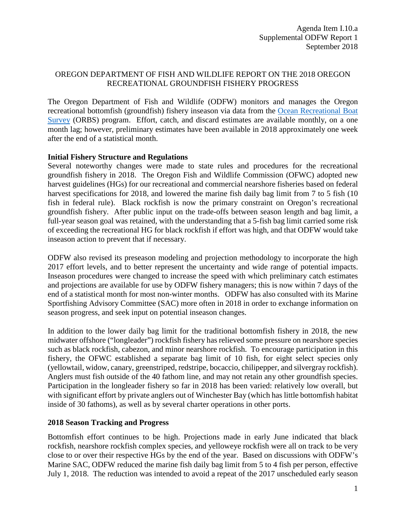## OREGON DEPARTMENT OF FISH AND WILDLIFE REPORT ON THE 2018 OREGON RECREATIONAL GROUNDFISH FISHERY PROGRESS

The Oregon Department of Fish and Wildlife (ODFW) monitors and manages the Oregon recreational bottomfish (groundfish) fishery inseason via data from the [Ocean Recreational Boat](http://www.dfw.state.or.us/MRP/salmon/docs/ORBS_Design.pdf)  [Survey](http://www.dfw.state.or.us/MRP/salmon/docs/ORBS_Design.pdf) (ORBS) program. Effort, catch, and discard estimates are available monthly, on a one month lag; however, preliminary estimates have been available in 2018 approximately one week after the end of a statistical month.

## **Initial Fishery Structure and Regulations**

Several noteworthy changes were made to state rules and procedures for the recreational groundfish fishery in 2018. The Oregon Fish and Wildlife Commission (OFWC) adopted new harvest guidelines (HGs) for our recreational and commercial nearshore fisheries based on federal harvest specifications for 2018, and lowered the marine fish daily bag limit from 7 to 5 fish (10) fish in federal rule). Black rockfish is now the primary constraint on Oregon's recreational groundfish fishery. After public input on the trade-offs between season length and bag limit, a full-year season goal was retained, with the understanding that a 5-fish bag limit carried some risk of exceeding the recreational HG for black rockfish if effort was high, and that ODFW would take inseason action to prevent that if necessary.

ODFW also revised its preseason modeling and projection methodology to incorporate the high 2017 effort levels, and to better represent the uncertainty and wide range of potential impacts. Inseason procedures were changed to increase the speed with which preliminary catch estimates and projections are available for use by ODFW fishery managers; this is now within 7 days of the end of a statistical month for most non-winter months. ODFW has also consulted with its Marine Sportfishing Advisory Committee (SAC) more often in 2018 in order to exchange information on season progress, and seek input on potential inseason changes.

In addition to the lower daily bag limit for the traditional bottomfish fishery in 2018, the new midwater offshore ("longleader") rockfish fishery has relieved some pressure on nearshore species such as black rockfish, cabezon, and minor nearshore rockfish. To encourage participation in this fishery, the OFWC established a separate bag limit of 10 fish, for eight select species only (yellowtail, widow, canary, greenstriped, redstripe, bocaccio, chilipepper, and silvergray rockfish). Anglers must fish outside of the 40 fathom line, and may not retain any other groundfish species. Participation in the longleader fishery so far in 2018 has been varied: relatively low overall, but with significant effort by private anglers out of Winchester Bay (which has little bottomfish habitat inside of 30 fathoms), as well as by several charter operations in other ports.

## **2018 Season Tracking and Progress**

Bottomfish effort continues to be high. Projections made in early June indicated that black rockfish, nearshore rockfish complex species, and yelloweye rockfish were all on track to be very close to or over their respective HGs by the end of the year. Based on discussions with ODFW's Marine SAC, ODFW reduced the marine fish daily bag limit from 5 to 4 fish per person, effective July 1, 2018. The reduction was intended to avoid a repeat of the 2017 unscheduled early season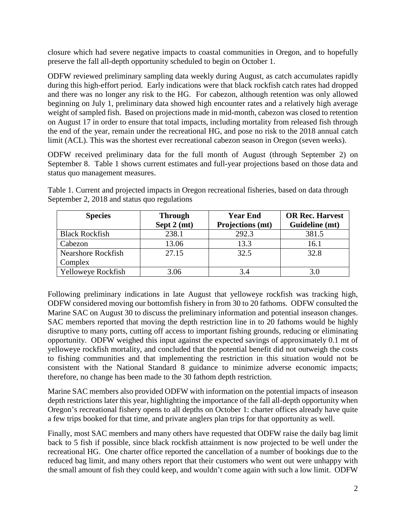closure which had severe negative impacts to coastal communities in Oregon, and to hopefully preserve the fall all-depth opportunity scheduled to begin on October 1.

ODFW reviewed preliminary sampling data weekly during August, as catch accumulates rapidly during this high-effort period. Early indications were that black rockfish catch rates had dropped and there was no longer any risk to the HG. For cabezon, although retention was only allowed beginning on July 1, preliminary data showed high encounter rates and a relatively high average weight of sampled fish. Based on projections made in mid-month, cabezon was closed to retention on August 17 in order to ensure that total impacts, including mortality from released fish through the end of the year, remain under the recreational HG, and pose no risk to the 2018 annual catch limit (ACL). This was the shortest ever recreational cabezon season in Oregon (seven weeks).

ODFW received preliminary data for the full month of August (through September 2) on September 8. Table 1 shows current estimates and full-year projections based on those data and status quo management measures.

| <b>Species</b>            | <b>Through</b>        | <b>Year End</b>  | <b>OR Rec. Harvest</b> |
|---------------------------|-----------------------|------------------|------------------------|
|                           | Sept $2 \text{ (mt)}$ | Projections (mt) | Guideline (mt)         |
| <b>Black Rockfish</b>     | 238.1                 | 292.3            | 381.5                  |
| Cabezon                   | 13.06                 | 13.3             | 16.1                   |
| <b>Nearshore Rockfish</b> | 27.15                 | 32.5             | 32.8                   |
| Complex                   |                       |                  |                        |
| Yelloweye Rockfish        | 3.06                  | 3.4              | 3.0                    |

Table 1. Current and projected impacts in Oregon recreational fisheries, based on data through September 2, 2018 and status quo regulations

Following preliminary indications in late August that yelloweye rockfish was tracking high, ODFW considered moving our bottomfish fishery in from 30 to 20 fathoms. ODFW consulted the Marine SAC on August 30 to discuss the preliminary information and potential inseason changes. SAC members reported that moving the depth restriction line in to 20 fathoms would be highly disruptive to many ports, cutting off access to important fishing grounds, reducing or eliminating opportunity. ODFW weighed this input against the expected savings of approximately 0.1 mt of yelloweye rockfish mortality, and concluded that the potential benefit did not outweigh the costs to fishing communities and that implementing the restriction in this situation would not be consistent with the National Standard 8 guidance to minimize adverse economic impacts; therefore, no change has been made to the 30 fathom depth restriction.

Marine SAC members also provided ODFW with information on the potential impacts of inseason depth restrictions later this year, highlighting the importance of the fall all-depth opportunity when Oregon's recreational fishery opens to all depths on October 1: charter offices already have quite a few trips booked for that time, and private anglers plan trips for that opportunity as well.

Finally, most SAC members and many others have requested that ODFW raise the daily bag limit back to 5 fish if possible, since black rockfish attainment is now projected to be well under the recreational HG. One charter office reported the cancellation of a number of bookings due to the reduced bag limit, and many others report that their customers who went out were unhappy with the small amount of fish they could keep, and wouldn't come again with such a low limit. ODFW